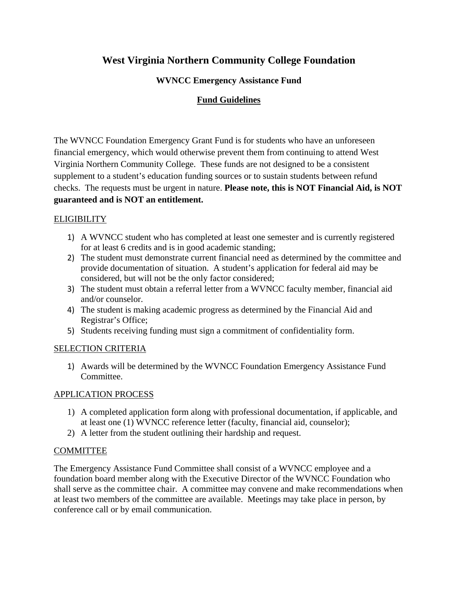# **West Virginia Northern Community College Foundation**

## **WVNCC Emergency Assistance Fund**

## **Fund Guidelines**

The WVNCC Foundation Emergency Grant Fund is for students who have an unforeseen financial emergency, which would otherwise prevent them from continuing to attend West Virginia Northern Community College. These funds are not designed to be a consistent supplement to a student's education funding sources or to sustain students between refund checks. The requests must be urgent in nature. **Please note, this is NOT Financial Aid, is NOT guaranteed and is NOT an entitlement.**

#### **ELIGIBILITY**

- 1) A WVNCC student who has completed at least one semester and is currently registered for at least 6 credits and is in good academic standing;
- 2) The student must demonstrate current financial need as determined by the committee and provide documentation of situation. A student's application for federal aid may be considered, but will not be the only factor considered;
- 3) The student must obtain a referral letter from a WVNCC faculty member, financial aid and/or counselor.
- 4) The student is making academic progress as determined by the Financial Aid and Registrar's Office;
- 5) Students receiving funding must sign a commitment of confidentiality form.

#### SELECTION CRITERIA

1) Awards will be determined by the WVNCC Foundation Emergency Assistance Fund Committee.

#### APPLICATION PROCESS

- 1) A completed application form along with professional documentation, if applicable, and at least one (1) WVNCC reference letter (faculty, financial aid, counselor);
- 2) A letter from the student outlining their hardship and request.

## COMMITTEE

The Emergency Assistance Fund Committee shall consist of a WVNCC employee and a foundation board member along with the Executive Director of the WVNCC Foundation who shall serve as the committee chair. A committee may convene and make recommendations when at least two members of the committee are available. Meetings may take place in person, by conference call or by email communication.